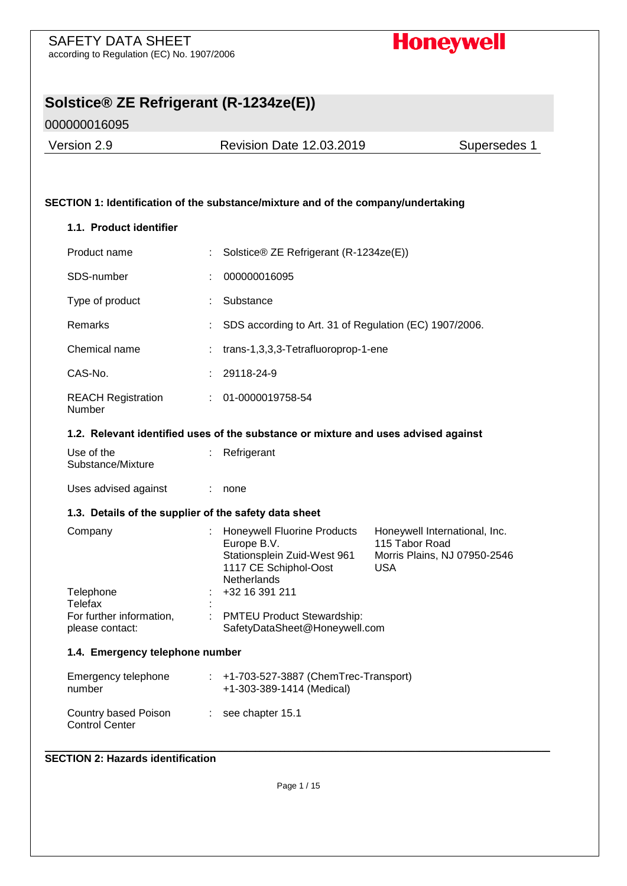# **Honeywell**

# **Solstice® ZE Refrigerant (R-1234ze(E))**

000000016095

Version 2.9 Revision Date 12.03.2019 Supersedes 1

## **SECTION 1: Identification of the substance/mixture and of the company/undertaking**

#### **1.1. Product identifier**

| Product name                                          |    | Solstice® ZE Refrigerant (R-1234ze(E))                                                                                   |                                                                                               |  |  |
|-------------------------------------------------------|----|--------------------------------------------------------------------------------------------------------------------------|-----------------------------------------------------------------------------------------------|--|--|
| SDS-number                                            |    | 000000016095                                                                                                             |                                                                                               |  |  |
| Type of product                                       | ÷  | Substance                                                                                                                |                                                                                               |  |  |
| Remarks                                               |    | SDS according to Art. 31 of Regulation (EC) 1907/2006.                                                                   |                                                                                               |  |  |
| Chemical name                                         |    |                                                                                                                          | trans-1,3,3,3-Tetrafluoroprop-1-ene                                                           |  |  |
| CAS-No.                                               | ÷  | 29118-24-9                                                                                                               |                                                                                               |  |  |
| <b>REACH Registration</b><br>Number                   | ÷  | 01-0000019758-54                                                                                                         |                                                                                               |  |  |
|                                                       |    | 1.2. Relevant identified uses of the substance or mixture and uses advised against                                       |                                                                                               |  |  |
| Use of the<br>Substance/Mixture                       | ÷  | Refrigerant                                                                                                              |                                                                                               |  |  |
| Uses advised against                                  |    | none                                                                                                                     |                                                                                               |  |  |
| 1.3. Details of the supplier of the safety data sheet |    |                                                                                                                          |                                                                                               |  |  |
| Company                                               |    | <b>Honeywell Fluorine Products</b><br>Europe B.V.<br>Stationsplein Zuid-West 961<br>1117 CE Schiphol-Oost<br>Netherlands | Honeywell International, Inc.<br>115 Tabor Road<br>Morris Plains, NJ 07950-2546<br><b>USA</b> |  |  |
| Telephone<br>Telefax                                  |    | +32 16 391 211                                                                                                           |                                                                                               |  |  |
| For further information,<br>please contact:           |    | PMTEU Product Stewardship:<br>SafetyDataSheet@Honeywell.com                                                              |                                                                                               |  |  |
| 1.4. Emergency telephone number                       |    |                                                                                                                          |                                                                                               |  |  |
| Emergency telephone<br>number                         | t, | +1-703-527-3887 (ChemTrec-Transport)<br>+1-303-389-1414 (Medical)                                                        |                                                                                               |  |  |
| Country based Poison<br><b>Control Center</b>         | ÷  | see chapter 15.1                                                                                                         |                                                                                               |  |  |

#### \_\_\_\_\_\_\_\_\_\_\_\_\_\_\_\_\_\_\_\_\_\_\_\_\_\_\_\_\_\_\_\_\_\_\_\_\_\_\_\_\_\_\_\_\_\_\_\_\_\_\_\_\_\_\_\_\_\_\_\_\_\_\_\_\_\_\_\_\_\_\_\_\_\_\_\_\_\_\_\_\_\_\_\_\_\_\_\_\_\_\_\_\_\_\_\_\_\_\_\_\_\_\_\_\_\_\_\_\_\_\_\_\_\_\_\_\_\_\_\_ **SECTION 2: Hazards identification**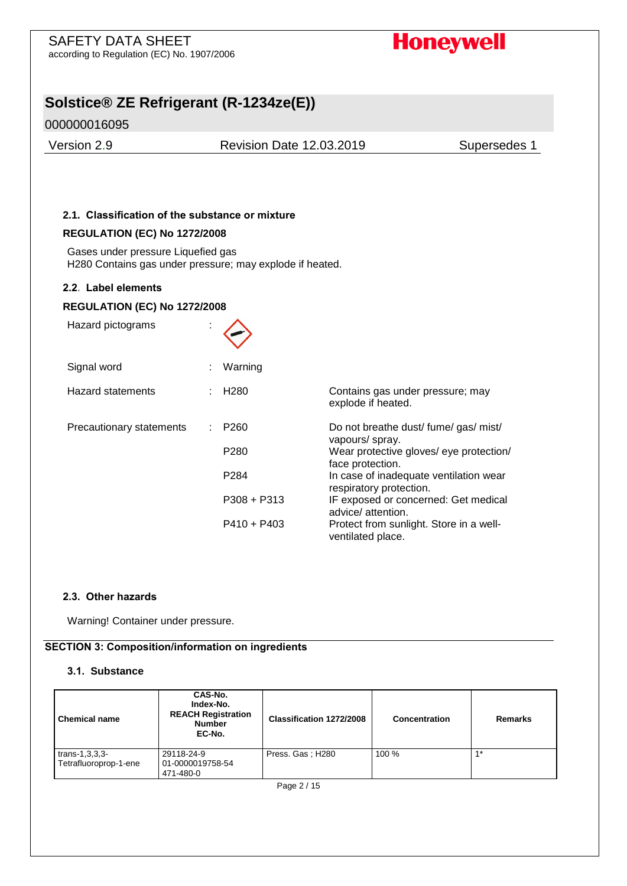# **Honeywell**

# **Solstice® ZE Refrigerant (R-1234ze(E))**

# 000000016095

Version 2.9 Revision Date 12.03.2019 Supersedes 1

### **2.1. Classification of the substance or mixture**

#### **REGULATION (EC) No 1272/2008**

Gases under pressure Liquefied gas H280 Contains gas under pressure; may explode if heated.

#### **2.2. Label elements**

#### **REGULATION (EC) No 1272/2008**

| Hazard pictograms        |                   |                                                                   |
|--------------------------|-------------------|-------------------------------------------------------------------|
| Signal word              | Warning           |                                                                   |
| <b>Hazard statements</b> | $\div$ H280       | Contains gas under pressure; may<br>explode if heated.            |
| Precautionary statements | P <sub>260</sub>  | Do not breathe dust/ fume/ gas/ mist/<br>vapours/ spray.          |
|                          | P <sub>280</sub>  | Wear protective gloves/ eye protection/<br>face protection.       |
|                          | P <sub>2</sub> 84 | In case of inadequate ventilation wear<br>respiratory protection. |
|                          | $P308 + P313$     | IF exposed or concerned: Get medical<br>advice/attention.         |
|                          | $P410 + P403$     | Protect from sunlight. Store in a well-<br>ventilated place.      |

#### **2.3. Other hazards**

Warning! Container under pressure.

#### **SECTION 3: Composition/information on ingredients**

#### **3.1. Substance**

| <b>Chemical name</b>                        | CAS-No.<br>Index-No.<br><b>REACH Registration</b><br><b>Number</b><br>EC-No. | Classification 1272/2008 | Concentration | <b>Remarks</b>   |  |
|---------------------------------------------|------------------------------------------------------------------------------|--------------------------|---------------|------------------|--|
| trans- $1,3,3,3$ -<br>Tetrafluoroprop-1-ene | 29118-24-9<br>01-0000019758-54<br>471-480-0                                  | Press. Gas; H280         | 100 %         | $\overline{A}$ * |  |
| Page 2 / 15                                 |                                                                              |                          |               |                  |  |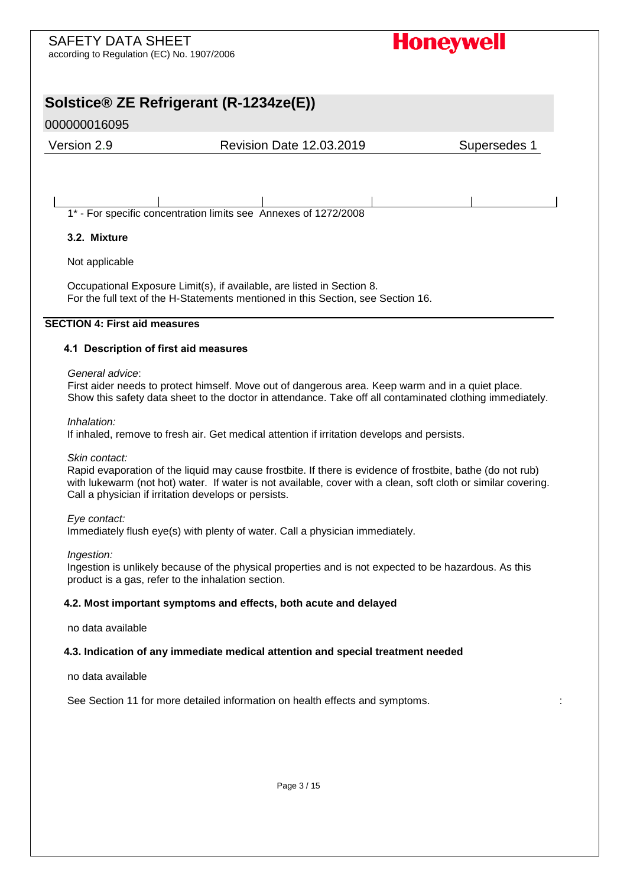# **Solstice® ZE Refrigerant (R-1234ze(E))**

# 000000016095

Version 2.9 Revision Date 12.03.2019 Supersedes 1

1\* - For specific concentration limits see Annexes of 1272/2008

## **3.2. Mixture**

Not applicable

Occupational Exposure Limit(s), if available, are listed in Section 8. For the full text of the H-Statements mentioned in this Section, see Section 16.

### **SECTION 4: First aid measures**

### **4.1 Description of first aid measures**

#### *General advice*:

First aider needs to protect himself. Move out of dangerous area. Keep warm and in a quiet place. Show this safety data sheet to the doctor in attendance. Take off all contaminated clothing immediately.

*Inhalation:* 

If inhaled, remove to fresh air. Get medical attention if irritation develops and persists.

*Skin contact:* 

Rapid evaporation of the liquid may cause frostbite. If there is evidence of frostbite, bathe (do not rub) with lukewarm (not hot) water. If water is not available, cover with a clean, soft cloth or similar covering. Call a physician if irritation develops or persists.

#### *Eye contact:*

Immediately flush eye(s) with plenty of water. Call a physician immediately.

#### *Ingestion:*

Ingestion is unlikely because of the physical properties and is not expected to be hazardous. As this product is a gas, refer to the inhalation section.

#### **4.2. Most important symptoms and effects, both acute and delayed**

no data available

#### **4.3. Indication of any immediate medical attention and special treatment needed**

no data available

See Section 11 for more detailed information on health effects and symptoms. :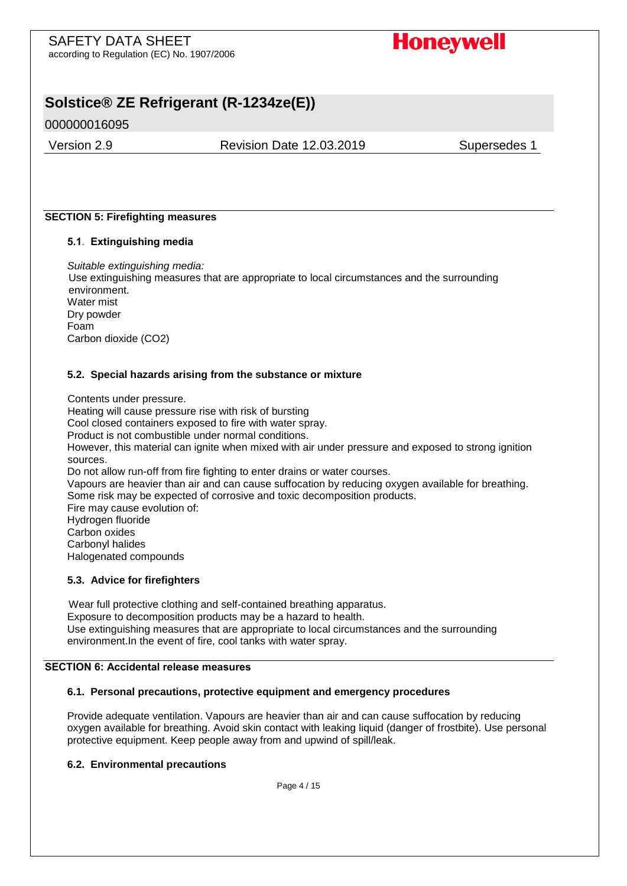**Honeywell** 

# **Solstice® ZE Refrigerant (R-1234ze(E))**

000000016095

Version 2.9 Revision Date 12.03.2019 Supersedes 1

### **SECTION 5: Firefighting measures**

### **5.1. Extinguishing media**

*Suitable extinguishing media:*  Use extinguishing measures that are appropriate to local circumstances and the surrounding environment. Water mist Dry powder Foam Carbon dioxide (CO2)

### **5.2. Special hazards arising from the substance or mixture**

Contents under pressure. Heating will cause pressure rise with risk of bursting Cool closed containers exposed to fire with water spray. Product is not combustible under normal conditions. However, this material can ignite when mixed with air under pressure and exposed to strong ignition sources. Do not allow run-off from fire fighting to enter drains or water courses. Vapours are heavier than air and can cause suffocation by reducing oxygen available for breathing. Some risk may be expected of corrosive and toxic decomposition products. Fire may cause evolution of: Hydrogen fluoride Carbon oxides Carbonyl halides Halogenated compounds

### **5.3. Advice for firefighters**

Wear full protective clothing and self-contained breathing apparatus. Exposure to decomposition products may be a hazard to health. Use extinguishing measures that are appropriate to local circumstances and the surrounding environment.In the event of fire, cool tanks with water spray.

## **SECTION 6: Accidental release measures**

#### **6.1. Personal precautions, protective equipment and emergency procedures**

Provide adequate ventilation. Vapours are heavier than air and can cause suffocation by reducing oxygen available for breathing. Avoid skin contact with leaking liquid (danger of frostbite). Use personal protective equipment. Keep people away from and upwind of spill/leak.

#### **6.2. Environmental precautions**

Page 4 / 15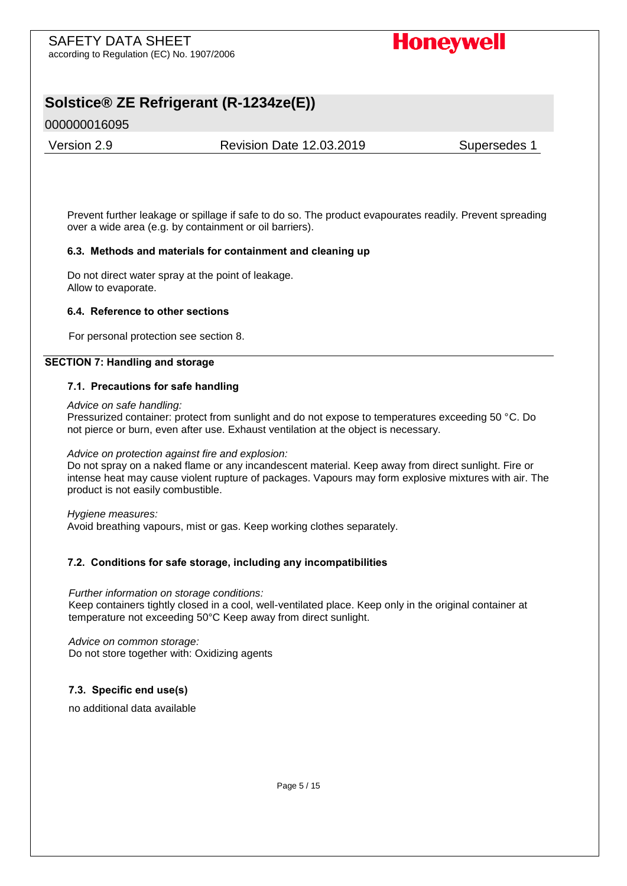# **Honeywell**

# **Solstice® ZE Refrigerant (R-1234ze(E))**

# 000000016095

Version 2.9 Revision Date 12.03.2019 Supersedes 1

Prevent further leakage or spillage if safe to do so. The product evapourates readily. Prevent spreading over a wide area (e.g. by containment or oil barriers).

### **6.3. Methods and materials for containment and cleaning up**

Do not direct water spray at the point of leakage. Allow to evaporate.

### **6.4. Reference to other sections**

For personal protection see section 8.

### **SECTION 7: Handling and storage**

### **7.1. Precautions for safe handling**

*Advice on safe handling:*

Pressurized container: protect from sunlight and do not expose to temperatures exceeding 50 °C. Do not pierce or burn, even after use. Exhaust ventilation at the object is necessary.

#### *Advice on protection against fire and explosion:*

Do not spray on a naked flame or any incandescent material. Keep away from direct sunlight. Fire or intense heat may cause violent rupture of packages. Vapours may form explosive mixtures with air. The product is not easily combustible.

*Hygiene measures:*  Avoid breathing vapours, mist or gas. Keep working clothes separately.

## **7.2. Conditions for safe storage, including any incompatibilities**

*Further information on storage conditions:*  Keep containers tightly closed in a cool, well-ventilated place. Keep only in the original container at temperature not exceeding 50°C Keep away from direct sunlight.

*Advice on common storage:*  Do not store together with: Oxidizing agents

## **7.3. Specific end use(s)**

no additional data available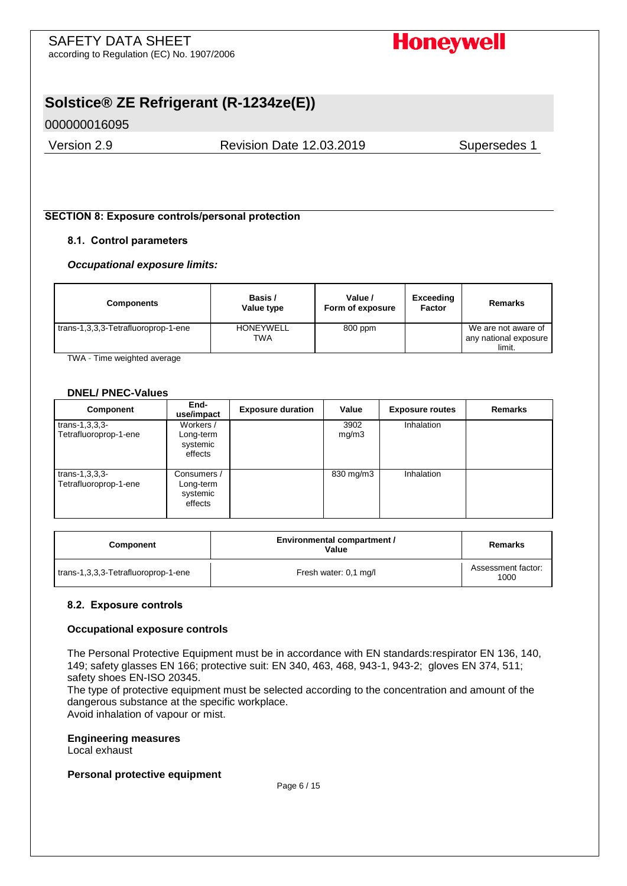**Honeywell** 

# **Solstice® ZE Refrigerant (R-1234ze(E))**

000000016095

Version 2.9 Revision Date 12.03.2019 Supersedes 1

### **SECTION 8: Exposure controls/personal protection**

### **8.1. Control parameters**

#### *Occupational exposure limits:*

| <b>Components</b>                   | Basis /<br>Value type   | Value /<br>Form of exposure | Exceeding<br>Factor | Remarks                                                |
|-------------------------------------|-------------------------|-----------------------------|---------------------|--------------------------------------------------------|
| trans-1,3,3,3-Tetrafluoroprop-1-ene | <b>HONEYWELL</b><br>TWA | 800 ppm                     |                     | We are not aware of<br>any national exposure<br>limit. |

TWA - Time weighted average

#### **DNEL/ PNEC-Values**

| <b>Component</b>                             | End-<br>use/impact                              | <b>Exposure duration</b> | Value         | <b>Exposure routes</b> | <b>Remarks</b> |
|----------------------------------------------|-------------------------------------------------|--------------------------|---------------|------------------------|----------------|
| $trans-1, 3, 3, 3-$<br>Tetrafluoroprop-1-ene | Workers /<br>Long-term<br>systemic<br>effects   |                          | 3902<br>mq/m3 | Inhalation             |                |
| trans- $1,3,3,3$ -<br>Tetrafluoroprop-1-ene  | Consumers /<br>Long-term<br>systemic<br>effects |                          | 830 mg/m3     | Inhalation             |                |

| <b>Component</b>                    | Environmental compartment /<br>Value | Remarks                    |
|-------------------------------------|--------------------------------------|----------------------------|
| trans-1,3,3,3-Tetrafluoroprop-1-ene | Fresh water: 0.1 mg/l                | Assessment factor:<br>1000 |

#### **8.2. Exposure controls**

#### **Occupational exposure controls**

The Personal Protective Equipment must be in accordance with EN standards:respirator EN 136, 140, 149; safety glasses EN 166; protective suit: EN 340, 463, 468, 943-1, 943-2; gloves EN 374, 511; safety shoes EN-ISO 20345.

The type of protective equipment must be selected according to the concentration and amount of the dangerous substance at the specific workplace.

Avoid inhalation of vapour or mist.

# **Engineering measures**

Local exhaust

#### **Personal protective equipment**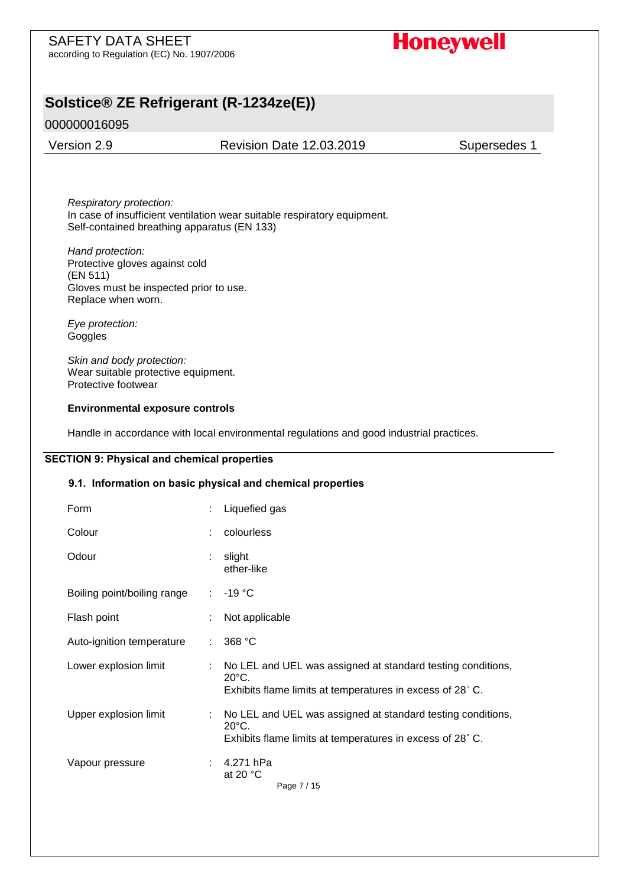# **Solstice® ZE Refrigerant (R-1234ze(E))**

# 000000016095

Version 2.9 Revision Date 12.03.2019 Supersedes 1

*Respiratory protection:*  In case of insufficient ventilation wear suitable respiratory equipment. Self-contained breathing apparatus (EN 133)

*Hand protection:*  Protective gloves against cold (EN 511) Gloves must be inspected prior to use. Replace when worn.

*Eye protection:*  **Goggles** 

*Skin and body protection:*  Wear suitable protective equipment. Protective footwear

#### **Environmental exposure controls**

Handle in accordance with local environmental regulations and good industrial practices.

### **SECTION 9: Physical and chemical properties**

#### **9.1. Information on basic physical and chemical properties**

| Form                        |   | Liquefied gas                                                                                                                               |
|-----------------------------|---|---------------------------------------------------------------------------------------------------------------------------------------------|
| Colour                      | ÷ | colourless                                                                                                                                  |
| Odour                       |   | slight<br>ether-like                                                                                                                        |
| Boiling point/boiling range |   | $: -19 \degree$ C                                                                                                                           |
| Flash point                 |   | Not applicable                                                                                                                              |
| Auto-ignition temperature   |   | 368 °C                                                                                                                                      |
| Lower explosion limit       |   | No LEL and UEL was assigned at standard testing conditions,<br>$20^{\circ}$ C.<br>Exhibits flame limits at temperatures in excess of 28° C. |
| Upper explosion limit       |   | No LEL and UEL was assigned at standard testing conditions,<br>$20^{\circ}$ C.<br>Exhibits flame limits at temperatures in excess of 28° C. |
| Vapour pressure             |   | 4.271 hPa<br>at 20 $\degree$ C<br>Page 7 / 15                                                                                               |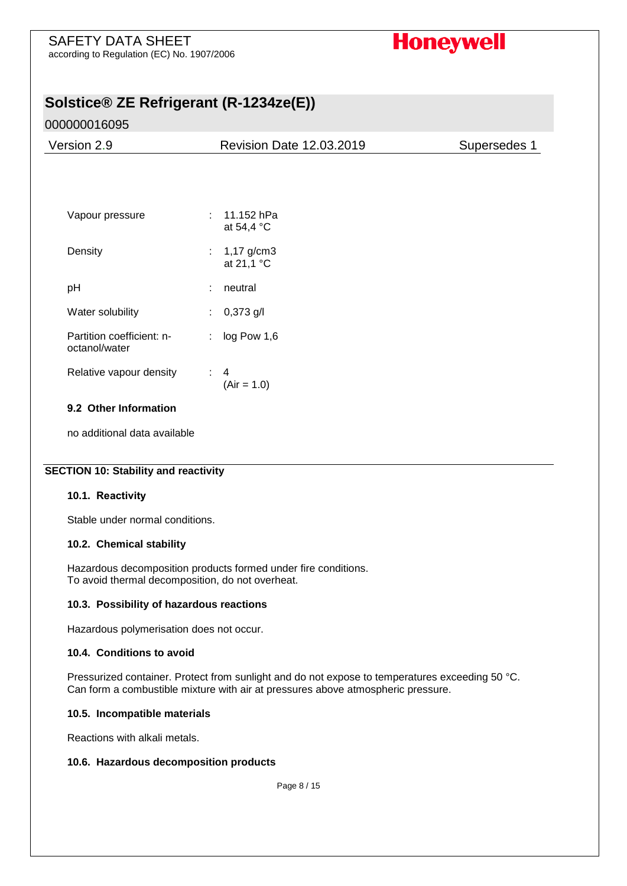# SAFETY DATA SHEET

according to Regulation (EC) No. 1907/2006

# **Honeywell**

# **Solstice® ZE Refrigerant (R-1234ze(E))**

# 000000016095

| Version 2.9                                |    | <b>Revision Date 12.03.2019</b> | Supersedes 1 |
|--------------------------------------------|----|---------------------------------|--------------|
|                                            |    |                                 |              |
|                                            |    |                                 |              |
| Vapour pressure                            | ÷  | 11.152 hPa<br>at 54,4 °C        |              |
| Density                                    |    | : $1,17$ g/cm3<br>at 21,1 °C    |              |
| pH                                         | ÷  | neutral                         |              |
| Water solubility                           | ÷  | $0,373$ g/l                     |              |
| Partition coefficient: n-<br>octanol/water | ÷. | log Pow 1,6                     |              |
| Relative vapour density                    | ÷  | 4<br>$(Air = 1.0)$              |              |

# **9.2 Other Information**

no additional data available

## **SECTION 10: Stability and reactivity**

## **10.1. Reactivity**

Stable under normal conditions.

## **10.2. Chemical stability**

Hazardous decomposition products formed under fire conditions. To avoid thermal decomposition, do not overheat.

## **10.3. Possibility of hazardous reactions**

Hazardous polymerisation does not occur.

## **10.4. Conditions to avoid**

Pressurized container. Protect from sunlight and do not expose to temperatures exceeding 50 °C. Can form a combustible mixture with air at pressures above atmospheric pressure.

#### **10.5. Incompatible materials**

Reactions with alkali metals.

## **10.6. Hazardous decomposition products**

Page 8 / 15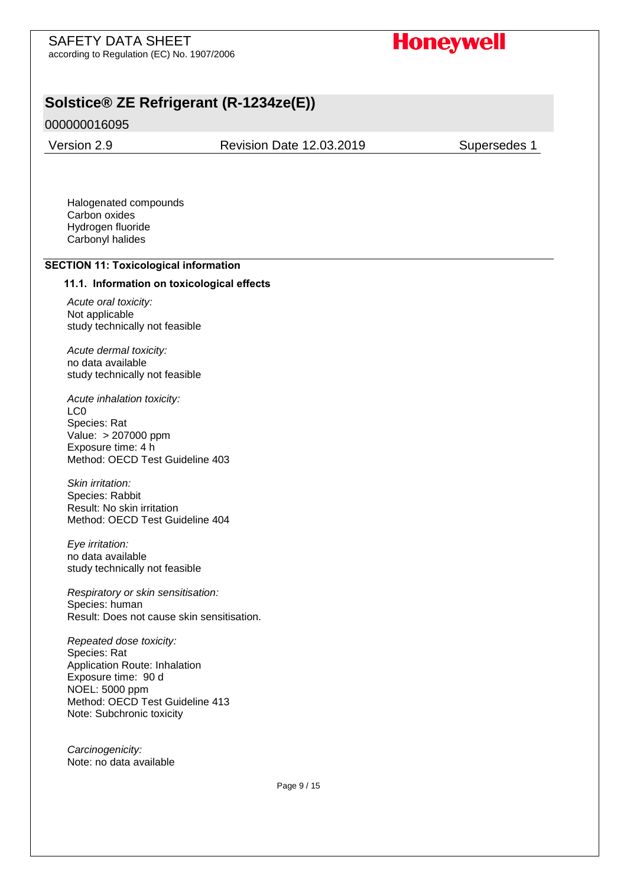**Honeywell** 

# **Solstice® ZE Refrigerant (R-1234ze(E))**

## 000000016095

Version 2.9 Revision Date 12.03.2019 Supersedes 1

Halogenated compounds Carbon oxides Hydrogen fluoride Carbonyl halides

#### **SECTION 11: Toxicological information**

#### **11.1. Information on toxicological effects**

*Acute oral toxicity:*  Not applicable study technically not feasible

*Acute dermal toxicity:*  no data available study technically not feasible

*Acute inhalation toxicity:*  LC0 Species: Rat Value: > 207000 ppm Exposure time: 4 h Method: OECD Test Guideline 403

*Skin irritation:*  Species: Rabbit Result: No skin irritation Method: OECD Test Guideline 404

*Eye irritation:*  no data available study technically not feasible

*Respiratory or skin sensitisation:*  Species: human Result: Does not cause skin sensitisation.

*Repeated dose toxicity:*  Species: Rat Application Route: Inhalation Exposure time: 90 d NOEL: 5000 ppm Method: OECD Test Guideline 413 Note: Subchronic toxicity

*Carcinogenicity:*  Note: no data available

Page 9 / 15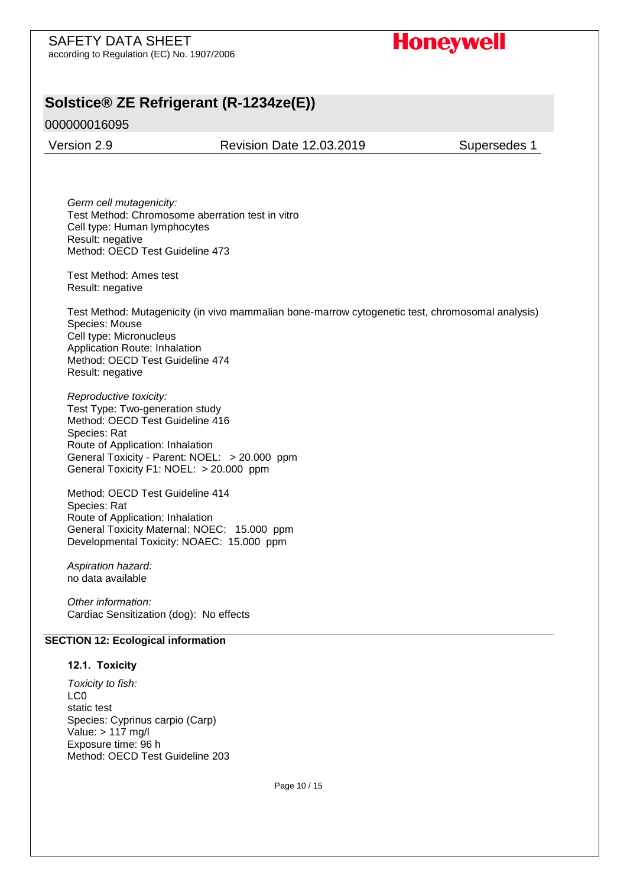# **Solstice® ZE Refrigerant (R-1234ze(E))**

000000016095

Version 2.9 Revision Date 12.03.2019 Supersedes 1

*Germ cell mutagenicity:*  Test Method: Chromosome aberration test in vitro Cell type: Human lymphocytes Result: negative Method: OECD Test Guideline 473

Test Method: Ames test Result: negative

Test Method: Mutagenicity (in vivo mammalian bone-marrow cytogenetic test, chromosomal analysis) Species: Mouse Cell type: Micronucleus Application Route: Inhalation Method: OECD Test Guideline 474 Result: negative

*Reproductive toxicity:*  Test Type: Two-generation study Method: OECD Test Guideline 416 Species: Rat Route of Application: Inhalation General Toxicity - Parent: NOEL: > 20.000 ppm General Toxicity F1: NOEL: > 20.000 ppm

Method: OECD Test Guideline 414 Species: Rat Route of Application: Inhalation General Toxicity Maternal: NOEC: 15.000 ppm Developmental Toxicity: NOAEC: 15.000 ppm

*Aspiration hazard:* no data available

*Other information:*  Cardiac Sensitization (dog): No effects

#### **SECTION 12: Ecological information**

#### **12.1. Toxicity**

*Toxicity to fish:*  LC0 static test Species: Cyprinus carpio (Carp) Value: > 117 mg/l Exposure time: 96 h Method: OECD Test Guideline 203

Page 10 / 15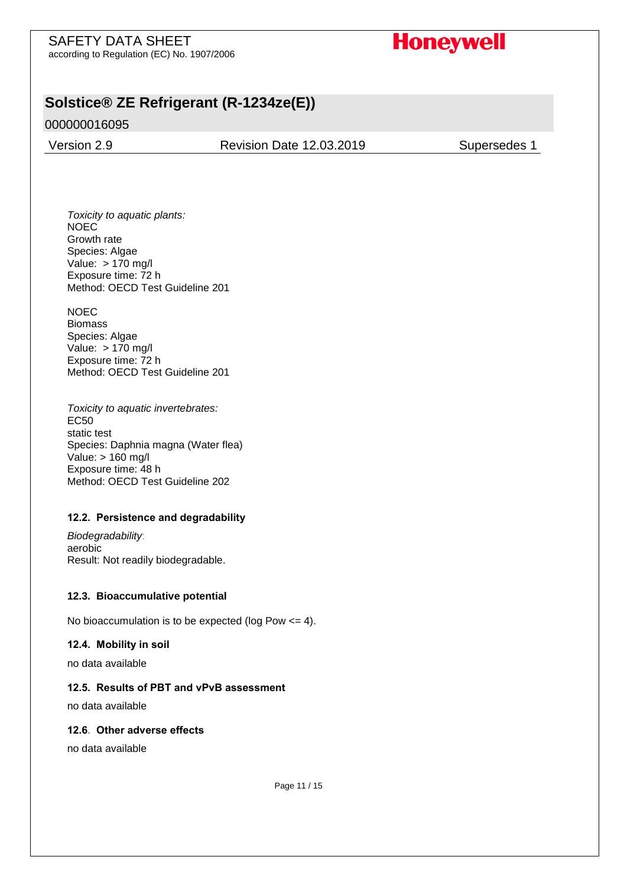# SAFETY DATA SHEET

according to Regulation (EC) No. 1907/2006

# **Honeywell**

# **Solstice® ZE Refrigerant (R-1234ze(E))**

# 000000016095

Version 2.9 Revision Date 12.03.2019 Supersedes 1

*Toxicity to aquatic plants:*  NOEC Growth rate Species: Algae Value: > 170 mg/l Exposure time: 72 h Method: OECD Test Guideline 201

NOEC Biomass Species: Algae Value: > 170 mg/l Exposure time: 72 h Method: OECD Test Guideline 201

*Toxicity to aquatic invertebrates:*  EC50 static test Species: Daphnia magna (Water flea) Value: > 160 mg/l Exposure time: 48 h Method: OECD Test Guideline 202

## **12.2. Persistence and degradability**

*Biodegradability*: aerobic Result: Not readily biodegradable.

## **12.3. Bioaccumulative potential**

No bioaccumulation is to be expected (log Pow  $\leq$  = 4).

## **12.4. Mobility in soil**

no data available

#### **12.5. Results of PBT and vPvB assessment**

no data available

#### **12.6. Other adverse effects**

no data available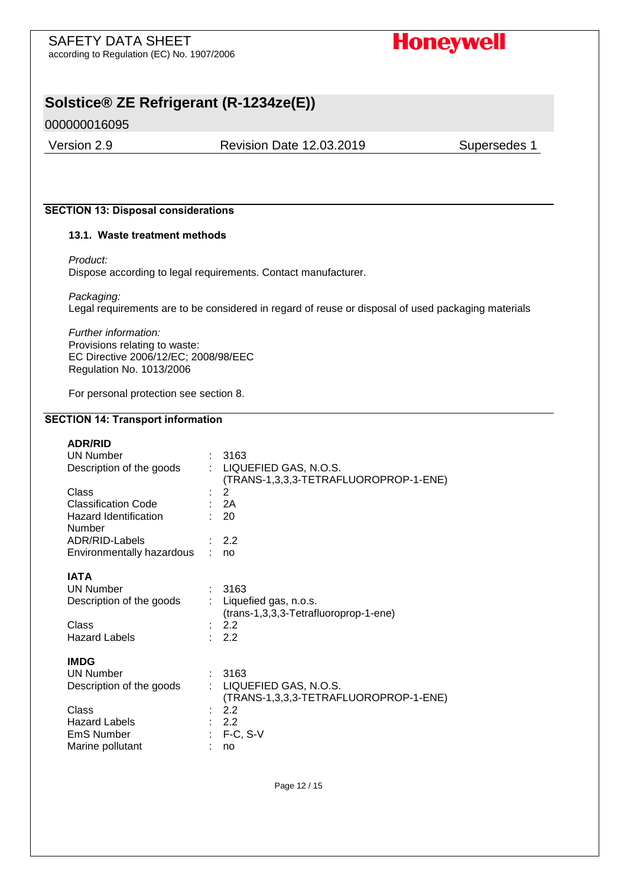# SAFETY DATA SHEET

according to Regulation (EC) No. 1907/2006

# **Honeywell**

# **Solstice® ZE Refrigerant (R-1234ze(E))**

# 000000016095

Version 2.9 Revision Date 12.03.2019 Supersedes 1

# **SECTION 13: Disposal considerations**

#### **13.1. Waste treatment methods**

*Product:* 

Dispose according to legal requirements. Contact manufacturer.

*Packaging:*  Legal requirements are to be considered in regard of reuse or disposal of used packaging materials

*Further information:*  Provisions relating to waste: EC Directive 2006/12/EC; 2008/98/EEC Regulation No. 1013/2006

For personal protection see section 8.

#### **SECTION 14: Transport information**

| <b>ADR/RID</b>                                              |   |                                                                |
|-------------------------------------------------------------|---|----------------------------------------------------------------|
| <b>UN Number</b>                                            |   | 3163                                                           |
| Description of the goods                                    |   | LIQUEFIED GAS, N.O.S.<br>(TRANS-1,3,3,3-TETRAFLUOROPROP-1-ENE) |
| Class                                                       |   | 2                                                              |
| <b>Classification Code</b>                                  |   | : $2A$                                                         |
| Hazard Identification<br>Number                             |   | 20                                                             |
| ADR/RID-Labels                                              |   | 2.2                                                            |
| Environmentally hazardous                                   |   | no                                                             |
|                                                             |   |                                                                |
| <b>IATA</b><br><b>UN Number</b><br>Description of the goods |   | 3163<br>Liquefied gas, n.o.s.                                  |
|                                                             |   | (trans-1,3,3,3-Tetrafluoroprop-1-ene)                          |
| Class                                                       |   | 2.2                                                            |
| <b>Hazard Labels</b>                                        |   | 2.2                                                            |
| <b>IMDG</b>                                                 |   |                                                                |
| <b>UN Number</b>                                            |   | 3163                                                           |
| Description of the goods                                    | ÷ | LIQUEFIED GAS, N.O.S.                                          |
|                                                             |   | (TRANS-1,3,3,3-TETRAFLUOROPROP-1-ENE)                          |
| Class                                                       |   | 2.2                                                            |
| <b>Hazard Labels</b>                                        |   | 2.2                                                            |
| <b>EmS Number</b>                                           |   | $F-C, S-V$                                                     |
| Marine pollutant                                            |   | no                                                             |
|                                                             |   |                                                                |

Page 12 / 15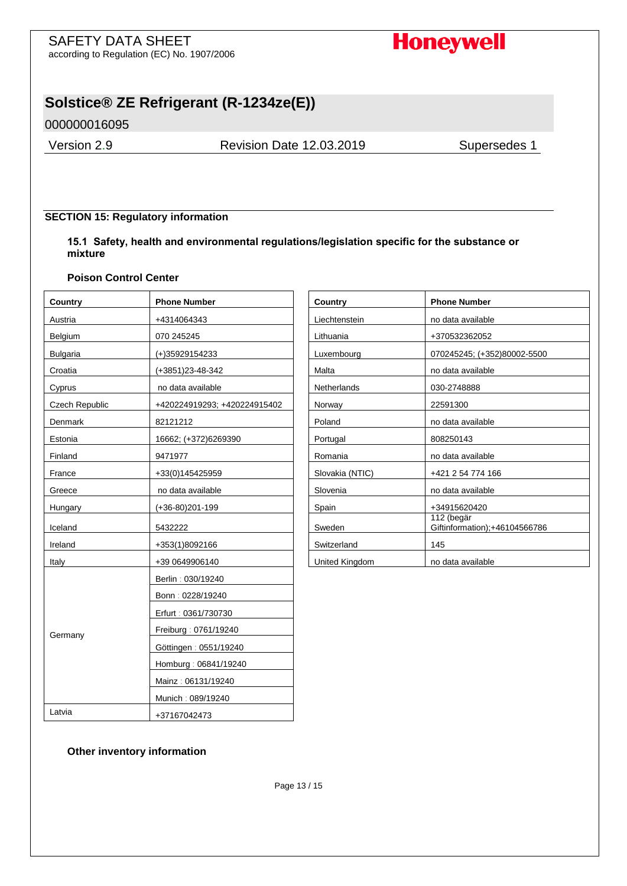# **Honeywell**

# **Solstice® ZE Refrigerant (R-1234ze(E))**

000000016095

Version 2.9 Revision Date 12.03.2019 Supersedes 1

## **SECTION 15: Regulatory information**

**15.1 Safety, health and environmental regulations/legislation specific for the substance or mixture**

#### **Poison Control Center**

| Country         | <b>Phone Number</b>          | Country            | <b>Phone Number</b>                         |
|-----------------|------------------------------|--------------------|---------------------------------------------|
| Austria         | +4314064343                  | Liechtenstein      | no data available                           |
| Belgium         | 070 245245                   | Lithuania          | +370532362052                               |
| <b>Bulgaria</b> | (+)35929154233               | Luxembourg         | 070245245; (+352)80002-5500                 |
| Croatia         | (+3851)23-48-342             | Malta              | no data available                           |
| Cyprus          | no data available            | <b>Netherlands</b> | 030-2748888                                 |
| Czech Republic  | +420224919293; +420224915402 | Norway             | 22591300                                    |
| Denmark         | 82121212                     | Poland             | no data available                           |
| Estonia         | 16662; (+372)6269390         | Portugal           | 808250143                                   |
| Finland         | 9471977                      | Romania            | no data available                           |
| France          | +33(0)145425959              | Slovakia (NTIC)    | +421 2 54 774 166                           |
| Greece          | no data available            | Slovenia           | no data available                           |
| Hungary         | (+36-80)201-199              | Spain              | +34915620420                                |
| Iceland         | 5432222                      | Sweden             | 112 (begär<br>Giftinformation);+46104566786 |
| Ireland         | +353(1)8092166               | Switzerland        | 145                                         |
| Italy           | +39 0649906140               | United Kingdom     | no data available                           |
|                 | Berlin: 030/19240            |                    |                                             |
|                 | Bonn: 0228/19240             |                    |                                             |
|                 | Erfurt: 0361/730730          |                    |                                             |
|                 | Freiburg: 0761/19240         |                    |                                             |
| Germany         | Göttingen: 0551/19240        |                    |                                             |
|                 | Homburg: 06841/19240         |                    |                                             |
|                 | Mainz: 06131/19240           |                    |                                             |
|                 | Munich: 089/19240            |                    |                                             |
| Latvia          | +37167042473                 |                    |                                             |

| Country         | <b>Phone Number</b>                         |
|-----------------|---------------------------------------------|
| Liechtenstein   | no data available                           |
| Lithuania       | +370532362052                               |
| Luxembourg      | 070245245; (+352)80002-5500                 |
| Malta           | no data available                           |
| Netherlands     | 030-2748888                                 |
| Norway          | 22591300                                    |
| Poland          | no data available                           |
| Portugal        | 808250143                                   |
| Romania         | no data available                           |
| Slovakia (NTIC) | +421 2 54 774 166                           |
| Slovenia        | no data available                           |
| Spain           | +34915620420                                |
| Sweden          | 112 (begär<br>Giftinformation);+46104566786 |
| Switzerland     | 145                                         |
| United Kingdom  | no data available                           |

#### **Other inventory information**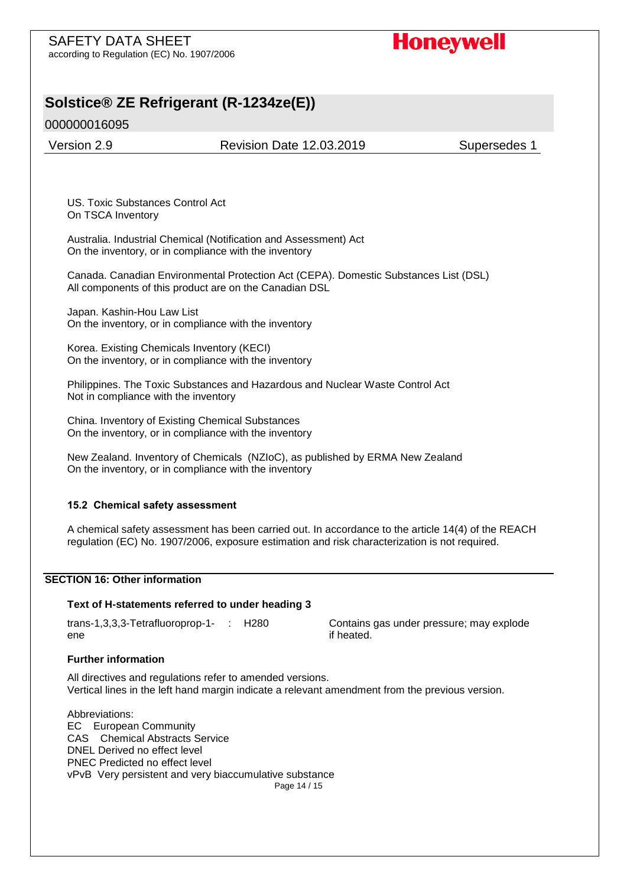# **Honeywell**

# **Solstice® ZE Refrigerant (R-1234ze(E))**

000000016095

Version 2.9 Revision Date 12.03.2019 Supersedes 1

US. Toxic Substances Control Act On TSCA Inventory

Australia. Industrial Chemical (Notification and Assessment) Act On the inventory, or in compliance with the inventory

Canada. Canadian Environmental Protection Act (CEPA). Domestic Substances List (DSL) All components of this product are on the Canadian DSL

Japan. Kashin-Hou Law List On the inventory, or in compliance with the inventory

Korea. Existing Chemicals Inventory (KECI) On the inventory, or in compliance with the inventory

Philippines. The Toxic Substances and Hazardous and Nuclear Waste Control Act Not in compliance with the inventory

China. Inventory of Existing Chemical Substances On the inventory, or in compliance with the inventory

New Zealand. Inventory of Chemicals (NZIoC), as published by ERMA New Zealand On the inventory, or in compliance with the inventory

#### **15.2 Chemical safety assessment**

A chemical safety assessment has been carried out. In accordance to the article 14(4) of the REACH regulation (EC) No. 1907/2006, exposure estimation and risk characterization is not required.

#### **SECTION 16: Other information**

#### **Text of H-statements referred to under heading 3**

trans-1,3,3,3-Tetrafluoroprop-1 ene

Contains gas under pressure; may explode if heated.

#### **Further information**

All directives and regulations refer to amended versions. Vertical lines in the left hand margin indicate a relevant amendment from the previous version.

Page 14 / 15 Abbreviations: EC European Community CAS Chemical Abstracts Service DNEL Derived no effect level PNEC Predicted no effect level vPvB Very persistent and very biaccumulative substance